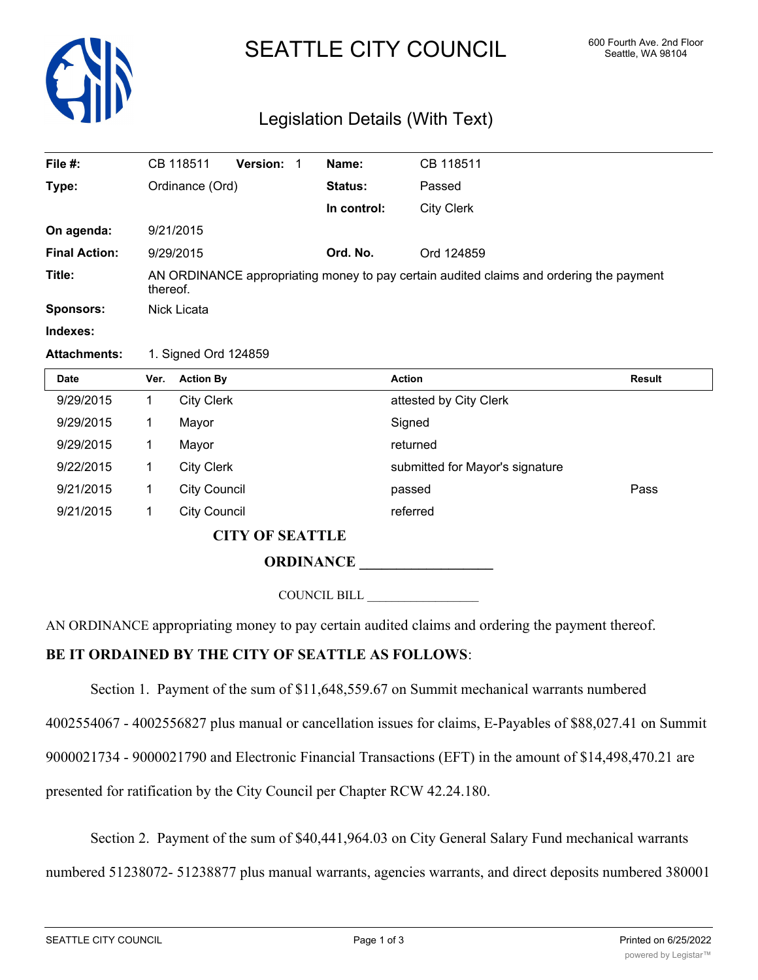

## SEATTLE CITY COUNCIL 600 Fourth Ave. 2nd Floor

## Legislation Details (With Text)

| File $#$ :           |                                                                                                     | CB 118511           | Version: 1             |  | Name:       | CB 118511                       |               |
|----------------------|-----------------------------------------------------------------------------------------------------|---------------------|------------------------|--|-------------|---------------------------------|---------------|
| Type:                | Ordinance (Ord)                                                                                     |                     |                        |  | Status:     | Passed                          |               |
|                      |                                                                                                     |                     |                        |  | In control: | <b>City Clerk</b>               |               |
| On agenda:           |                                                                                                     | 9/21/2015           |                        |  |             |                                 |               |
| <b>Final Action:</b> |                                                                                                     | 9/29/2015           |                        |  | Ord. No.    | Ord 124859                      |               |
| Title:               | AN ORDINANCE appropriating money to pay certain audited claims and ordering the payment<br>thereof. |                     |                        |  |             |                                 |               |
| Sponsors:            | Nick Licata                                                                                         |                     |                        |  |             |                                 |               |
| Indexes:             |                                                                                                     |                     |                        |  |             |                                 |               |
| <b>Attachments:</b>  | 1. Signed Ord 124859                                                                                |                     |                        |  |             |                                 |               |
| <b>Date</b>          | Ver.                                                                                                | <b>Action By</b>    |                        |  |             | <b>Action</b>                   | <b>Result</b> |
| 9/29/2015            | 1                                                                                                   | <b>City Clerk</b>   |                        |  |             | attested by City Clerk          |               |
| 9/29/2015            | 1                                                                                                   | Mayor               |                        |  |             | Signed                          |               |
| 9/29/2015            | 1                                                                                                   | Mayor               |                        |  |             | returned                        |               |
| 9/22/2015            | 1                                                                                                   | <b>City Clerk</b>   |                        |  |             | submitted for Mayor's signature |               |
| 9/21/2015            | 1                                                                                                   | <b>City Council</b> |                        |  |             | passed                          | Pass          |
| 9/21/2015            | $\mathbf 1$                                                                                         | <b>City Council</b> |                        |  |             | referred                        |               |
|                      |                                                                                                     |                     | <b>CITY OF SEATTLE</b> |  |             |                                 |               |
|                      |                                                                                                     |                     |                        |  |             |                                 |               |

COUNCIL BILL \_\_\_\_\_\_\_\_\_\_\_\_\_\_\_\_\_\_

AN ORDINANCE appropriating money to pay certain audited claims and ordering the payment thereof.

## **BE IT ORDAINED BY THE CITY OF SEATTLE AS FOLLOWS**:

Section 1. Payment of the sum of \$11,648,559.67 on Summit mechanical warrants numbered

4002554067 - 4002556827 plus manual or cancellation issues for claims, E-Payables of \$88,027.41 on Summit

9000021734 - 9000021790 and Electronic Financial Transactions (EFT) in the amount of \$14,498,470.21 are

presented for ratification by the City Council per Chapter RCW 42.24.180.

Section 2. Payment of the sum of \$40,441,964.03 on City General Salary Fund mechanical warrants

numbered 51238072- 51238877 plus manual warrants, agencies warrants, and direct deposits numbered 380001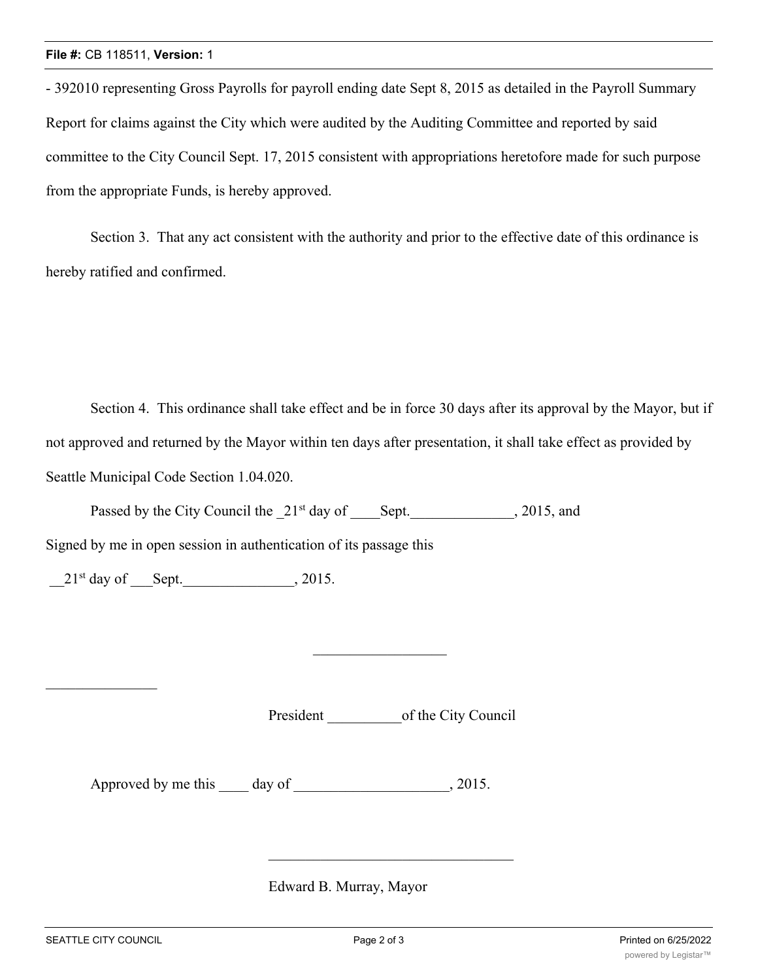- 392010 representing Gross Payrolls for payroll ending date Sept 8, 2015 as detailed in the Payroll Summary Report for claims against the City which were audited by the Auditing Committee and reported by said committee to the City Council Sept. 17, 2015 consistent with appropriations heretofore made for such purpose from the appropriate Funds, is hereby approved.

Section 3. That any act consistent with the authority and prior to the effective date of this ordinance is hereby ratified and confirmed.

Section 4. This ordinance shall take effect and be in force 30 days after its approval by the Mayor, but if not approved and returned by the Mayor within ten days after presentation, it shall take effect as provided by Seattle Municipal Code Section 1.04.020.

Passed by the City Council the  $21^{st}$  day of Sept.  $\qquad \qquad$ , 2015, and

Signed by me in open session in authentication of its passage this

 $21^{st}$  day of Sept.  $\qquad \qquad$  , 2015.

President of the City Council

Approved by me this day of 3015.

Edward B. Murray, Mayor